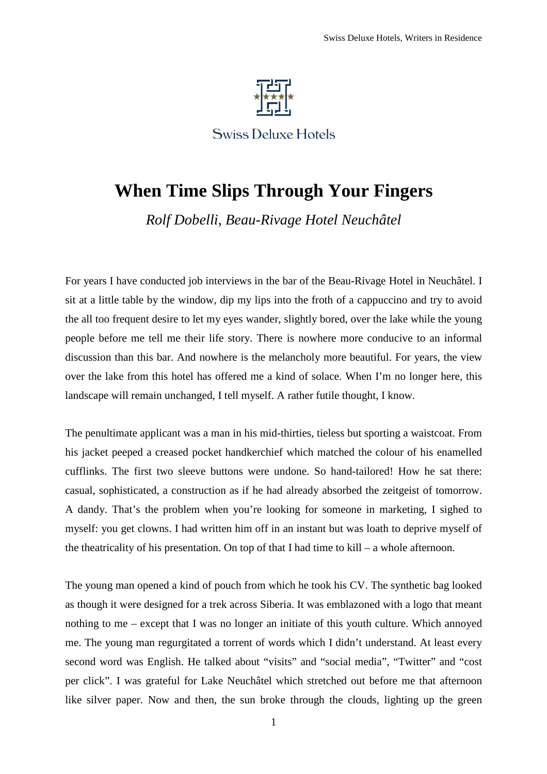

**Swiss Deluxe Hotels** 

## **When Time Slips Through Your Fingers**

*Rolf Dobelli, Beau-Rivage Hotel Neuchâtel* 

For years I have conducted job interviews in the bar of the Beau-Rivage Hotel in Neuchâtel. I sit at a little table by the window, dip my lips into the froth of a cappuccino and try to avoid the all too frequent desire to let my eyes wander, slightly bored, over the lake while the young people before me tell me their life story. There is nowhere more conducive to an informal discussion than this bar. And nowhere is the melancholy more beautiful. For years, the view over the lake from this hotel has offered me a kind of solace. When I'm no longer here, this landscape will remain unchanged, I tell myself. A rather futile thought, I know.

The penultimate applicant was a man in his mid-thirties, tieless but sporting a waistcoat. From his jacket peeped a creased pocket handkerchief which matched the colour of his enamelled cufflinks. The first two sleeve buttons were undone. So hand-tailored! How he sat there: casual, sophisticated, a construction as if he had already absorbed the zeitgeist of tomorrow. A dandy. That's the problem when you're looking for someone in marketing, I sighed to myself: you get clowns. I had written him off in an instant but was loath to deprive myself of the theatricality of his presentation. On top of that I had time to kill – a whole afternoon.

The young man opened a kind of pouch from which he took his CV. The synthetic bag looked as though it were designed for a trek across Siberia. It was emblazoned with a logo that meant nothing to me – except that I was no longer an initiate of this youth culture. Which annoyed me. The young man regurgitated a torrent of words which I didn't understand. At least every second word was English. He talked about "visits" and "social media", "Twitter" and "cost per click". I was grateful for Lake Neuchâtel which stretched out before me that afternoon like silver paper. Now and then, the sun broke through the clouds, lighting up the green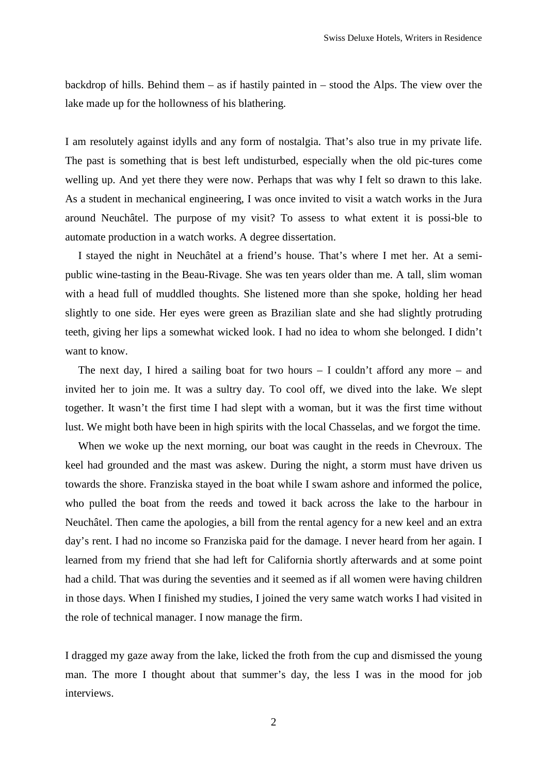backdrop of hills. Behind them – as if hastily painted in – stood the Alps. The view over the lake made up for the hollowness of his blathering.

I am resolutely against idylls and any form of nostalgia. That's also true in my private life. The past is something that is best left undisturbed, especially when the old pic-tures come welling up. And yet there they were now. Perhaps that was why I felt so drawn to this lake. As a student in mechanical engineering, I was once invited to visit a watch works in the Jura around Neuchâtel. The purpose of my visit? To assess to what extent it is possi-ble to automate production in a watch works. A degree dissertation.

I stayed the night in Neuchâtel at a friend's house. That's where I met her. At a semipublic wine-tasting in the Beau-Rivage. She was ten years older than me. A tall, slim woman with a head full of muddled thoughts. She listened more than she spoke, holding her head slightly to one side. Her eyes were green as Brazilian slate and she had slightly protruding teeth, giving her lips a somewhat wicked look. I had no idea to whom she belonged. I didn't want to know.

The next day, I hired a sailing boat for two hours  $-$  I couldn't afford any more  $-$  and invited her to join me. It was a sultry day. To cool off, we dived into the lake. We slept together. It wasn't the first time I had slept with a woman, but it was the first time without lust. We might both have been in high spirits with the local Chasselas, and we forgot the time.

When we woke up the next morning, our boat was caught in the reeds in Chevroux. The keel had grounded and the mast was askew. During the night, a storm must have driven us towards the shore. Franziska stayed in the boat while I swam ashore and informed the police, who pulled the boat from the reeds and towed it back across the lake to the harbour in Neuchâtel. Then came the apologies, a bill from the rental agency for a new keel and an extra day's rent. I had no income so Franziska paid for the damage. I never heard from her again. I learned from my friend that she had left for California shortly afterwards and at some point had a child. That was during the seventies and it seemed as if all women were having children in those days. When I finished my studies, I joined the very same watch works I had visited in the role of technical manager. I now manage the firm.

I dragged my gaze away from the lake, licked the froth from the cup and dismissed the young man. The more I thought about that summer's day, the less I was in the mood for job interviews.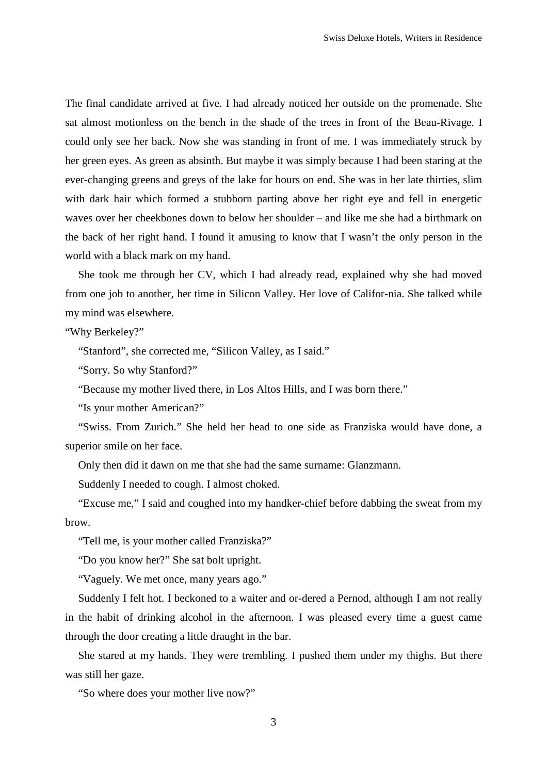The final candidate arrived at five. I had already noticed her outside on the promenade. She sat almost motionless on the bench in the shade of the trees in front of the Beau-Rivage. I could only see her back. Now she was standing in front of me. I was immediately struck by her green eyes. As green as absinth. But maybe it was simply because I had been staring at the ever-changing greens and greys of the lake for hours on end. She was in her late thirties, slim with dark hair which formed a stubborn parting above her right eye and fell in energetic waves over her cheekbones down to below her shoulder – and like me she had a birthmark on the back of her right hand. I found it amusing to know that I wasn't the only person in the world with a black mark on my hand.

She took me through her CV, which I had already read, explained why she had moved from one job to another, her time in Silicon Valley. Her love of Califor-nia. She talked while my mind was elsewhere.

"Why Berkeley?"

"Stanford", she corrected me, "Silicon Valley, as I said."

"Sorry. So why Stanford?"

"Because my mother lived there, in Los Altos Hills, and I was born there."

"Is your mother American?"

"Swiss. From Zurich." She held her head to one side as Franziska would have done, a superior smile on her face.

Only then did it dawn on me that she had the same surname: Glanzmann.

Suddenly I needed to cough. I almost choked.

"Excuse me," I said and coughed into my handker-chief before dabbing the sweat from my brow.

"Tell me, is your mother called Franziska?"

"Do you know her?" She sat bolt upright.

"Vaguely. We met once, many years ago."

Suddenly I felt hot. I beckoned to a waiter and or-dered a Pernod, although I am not really in the habit of drinking alcohol in the afternoon. I was pleased every time a guest came through the door creating a little draught in the bar.

She stared at my hands. They were trembling. I pushed them under my thighs. But there was still her gaze.

"So where does your mother live now?"